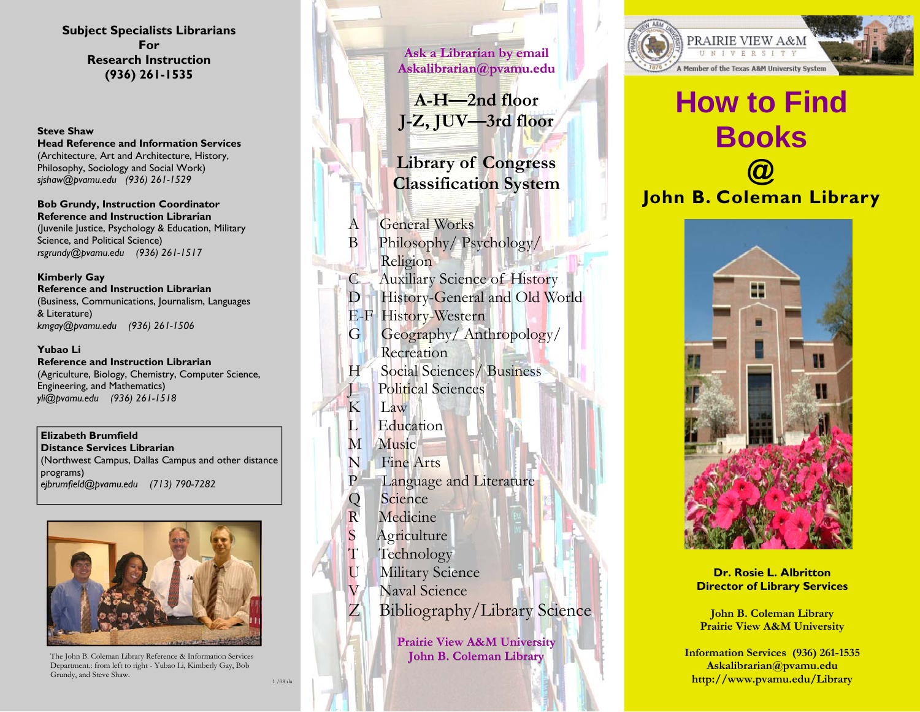**Subject Specialists Librarians For Research Instruction (936) 261-1535** 

### **Steve Shaw**

**Head Reference and Information Services** (Architecture, Art and Architecture, History, Philosophy, Sociology and Social Work) *sjshaw@pvamu.edu (936) 261-1529* 

**Bob Grundy, Instruction Coordinator Reference and Instruction Librarian** (Juvenile Justice, Psychology & Education, Military Science, and Political Science) *rsgrundy@pvamu.edu (936) 261-1517* 

### **Kimberly Gay**

**Reference and Instruction Librarian** (Business, Communications, Journalism, Languages & Literature) *kmgay@pvamu.edu (936) 261-1506* 

### **Yubao Li**

**Reference and Instruction Librarian** (Agriculture, Biology, Chemistry, Computer Science, Engineering, and Mathematics) *yli@pvamu.edu (936) 261-1518* 

### **Elizabeth Brumfield**

**Distance Services Librarian** (Northwest Campus, Dallas Campus and other distance programs) *ejbrumfield@pvamu.edu (713) 790-7282* 



The John B. Coleman Library Reference & Information Services Department.: from left to right - Yubao Li, Kimberly Gay, Bob Grundy, and Steve Shaw.  $1/08$ rla

**Ask a Librarian by email Ask a Ask Librarian by email Askalibrarian@pvamu.edu Askalibrarian@pvamu.edu A-H—2nd floor J-Z, JUV—3rd floor Library of Congress Classification System** 

- General Works
- B Philosophy/ Psychology/ Religion
- C Auxiliary Science of History
- D History-General and Old World
- E-F History-Western
- G Geography/ Anthropology/ **Recreation**
- H Social Sciences/ Business **J Political Sciences**
- K Law
- L Education
- M Music
- N Fine Arts
- P Language and Literature
- Q Science
- R Medicine
- S Agriculture
- T Technology
- U Military Science
- V Naval Science
- Z Bibliography/Library Science

**Prairie View A&M University Prairie View A&M University John B. Coleman Library John B. Library**



# **How to Find Books**

# **@ John B. Coleman Library**



**Dr. Rosie L. Albritton Director of Library Services** 

**John B. Coleman Library Prairie View A&M University** 

**Information Services (936) 261-1535 Askalibrarian@pvamu.edu http://www.pvamu.edu/Library**